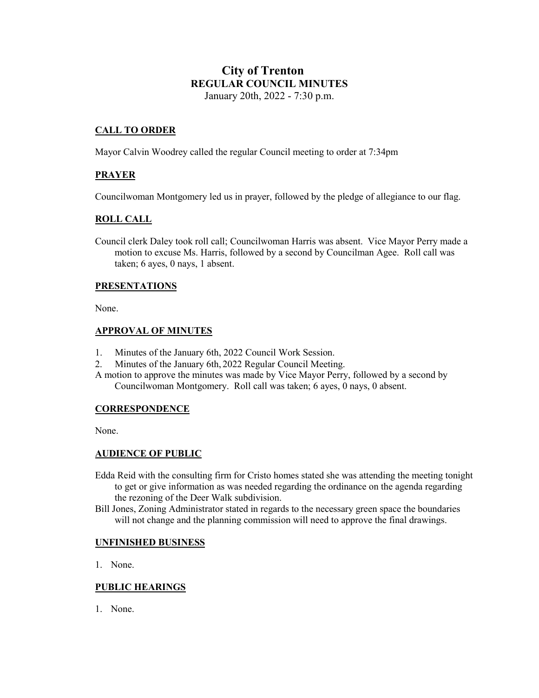# **City of Trenton REGULAR COUNCIL MINUTES** January 20th, 2022 - 7:30 p.m.

# **CALL TO ORDER**

Mayor Calvin Woodrey called the regular Council meeting to order at 7:34pm

# **PRAYER**

Councilwoman Montgomery led us in prayer, followed by the pledge of allegiance to our flag.

# **ROLL CALL**

Council clerk Daley took roll call; Councilwoman Harris was absent. Vice Mayor Perry made a motion to excuse Ms. Harris, followed by a second by Councilman Agee. Roll call was taken; 6 ayes, 0 nays, 1 absent.

## **PRESENTATIONS**

None.

#### **APPROVAL OF MINUTES**

- 1. Minutes of the January 6th, 2022 Council Work Session.
- 2. Minutes of the January 6th, 2022 Regular Council Meeting.
- A motion to approve the minutes was made by Vice Mayor Perry, followed by a second by Councilwoman Montgomery. Roll call was taken; 6 ayes, 0 nays, 0 absent.

#### **CORRESPONDENCE**

None.

## **AUDIENCE OF PUBLIC**

- Edda Reid with the consulting firm for Cristo homes stated she was attending the meeting tonight to get or give information as was needed regarding the ordinance on the agenda regarding the rezoning of the Deer Walk subdivision.
- Bill Jones, Zoning Administrator stated in regards to the necessary green space the boundaries will not change and the planning commission will need to approve the final drawings.

## **UNFINISHED BUSINESS**

1. None.

## **PUBLIC HEARINGS**

1. None.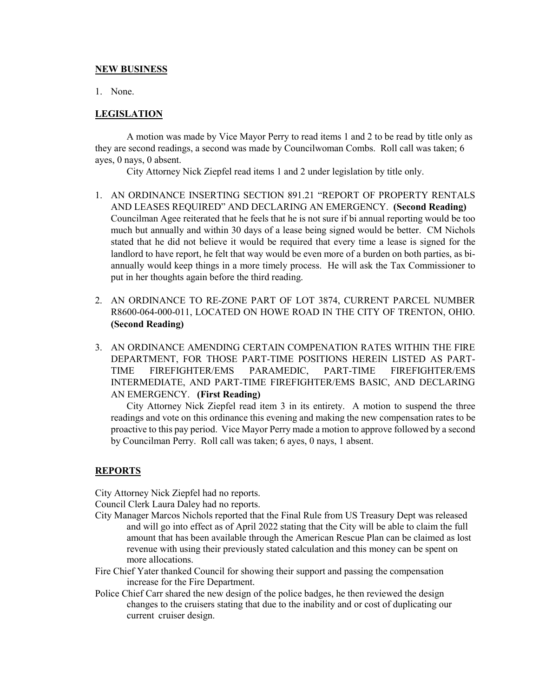#### **NEW BUSINESS**

1. None.

# **LEGISLATION**

A motion was made by Vice Mayor Perry to read items 1 and 2 to be read by title only as they are second readings, a second was made by Councilwoman Combs. Roll call was taken; 6 ayes, 0 nays, 0 absent.

City Attorney Nick Ziepfel read items 1 and 2 under legislation by title only.

- 1. AN ORDINANCE INSERTING SECTION 891.21 "REPORT OF PROPERTY RENTALS AND LEASES REQUIRED" AND DECLARING AN EMERGENCY. **(Second Reading)** Councilman Agee reiterated that he feels that he is not sure if bi annual reporting would be too much but annually and within 30 days of a lease being signed would be better. CM Nichols stated that he did not believe it would be required that every time a lease is signed for the landlord to have report, he felt that way would be even more of a burden on both parties, as biannually would keep things in a more timely process. He will ask the Tax Commissioner to put in her thoughts again before the third reading.
- 2. AN ORDINANCE TO RE-ZONE PART OF LOT 3874, CURRENT PARCEL NUMBER R8600-064-000-011, LOCATED ON HOWE ROAD IN THE CITY OF TRENTON, OHIO. **(Second Reading)**
- 3. AN ORDINANCE AMENDING CERTAIN COMPENATION RATES WITHIN THE FIRE DEPARTMENT, FOR THOSE PART-TIME POSITIONS HEREIN LISTED AS PART-TIME FIREFIGHTER/EMS PARAMEDIC, PART-TIME FIREFIGHTER/EMS INTERMEDIATE, AND PART-TIME FIREFIGHTER/EMS BASIC, AND DECLARING AN EMERGENCY. **(First Reading)**

City Attorney Nick Ziepfel read item 3 in its entirety. A motion to suspend the three readings and vote on this ordinance this evening and making the new compensation rates to be proactive to this pay period. Vice Mayor Perry made a motion to approve followed by a second by Councilman Perry. Roll call was taken; 6 ayes, 0 nays, 1 absent.

## **REPORTS**

City Attorney Nick Ziepfel had no reports.

Council Clerk Laura Daley had no reports.

- City Manager Marcos Nichols reported that the Final Rule from US Treasury Dept was released and will go into effect as of April 2022 stating that the City will be able to claim the full amount that has been available through the American Rescue Plan can be claimed as lost revenue with using their previously stated calculation and this money can be spent on more allocations.
- Fire Chief Yater thanked Council for showing their support and passing the compensation increase for the Fire Department.
- Police Chief Carr shared the new design of the police badges, he then reviewed the design changes to the cruisers stating that due to the inability and or cost of duplicating our current cruiser design.